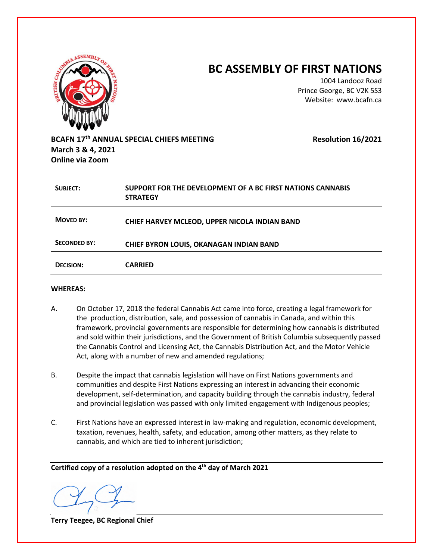| <b>ATISH CONDE</b>                          |                                                                               | <b>BC ASSEMBLY OF FIRST NATIONS</b><br>1004 Landooz Road<br>Prince George, BC V2K 5S3<br>Website: www.bcafn.ca |
|---------------------------------------------|-------------------------------------------------------------------------------|----------------------------------------------------------------------------------------------------------------|
| March 3 & 4, 2021<br><b>Online via Zoom</b> | BCAFN 17th ANNUAL SPECIAL CHIEFS MEETING                                      | <b>Resolution 16/2021</b>                                                                                      |
| <b>SUBJECT:</b>                             | SUPPORT FOR THE DEVELOPMENT OF A BC FIRST NATIONS CANNABIS<br><b>STRATEGY</b> |                                                                                                                |
| <b>MOVED BY:</b>                            | CHIEF HARVEY MCLEOD, UPPER NICOLA INDIAN BAND                                 |                                                                                                                |
| <b>SECONDED BY:</b>                         | <b>CHIEF BYRON LOUIS, OKANAGAN INDIAN BAND</b>                                |                                                                                                                |
| <b>DECISION:</b>                            | <b>CARRIED</b>                                                                |                                                                                                                |

## **WHEREAS:**

- A. On October 17, 2018 the federal Cannabis Act came into force, creating a legal framework for the production, distribution, sale, and possession of cannabis in Canada, and within this framework, provincial governments are responsible for determining how cannabis is distributed and sold within their jurisdictions, and the Government of British Columbia subsequently passed the Cannabis Control and Licensing Act, the Cannabis Distribution Act, and the Motor Vehicle Act, along with a number of new and amended regulations;
- B. Despite the impact that cannabis legislation will have on First Nations governments and communities and despite First Nations expressing an interest in advancing their economic development, self-determination, and capacity building through the cannabis industry, federal and provincial legislation was passed with only limited engagement with Indigenous peoples;
- C. First Nations have an expressed interest in law-making and regulation, economic development, taxation, revenues, health, safety, and education, among other matters, as they relate to cannabis, and which are tied to inherent jurisdiction;

**Terry Teegee, BC Regional Chief**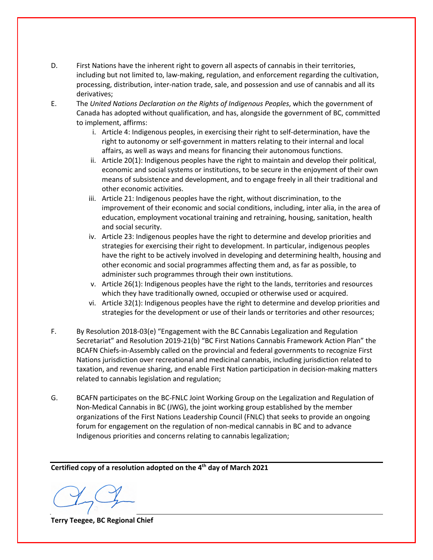- D. First Nations have the inherent right to govern all aspects of cannabis in their territories, including but not limited to, law-making, regulation, and enforcement regarding the cultivation, processing, distribution, inter-nation trade, sale, and possession and use of cannabis and all its derivatives;
- E. The *United Nations Declaration on the Rights of Indigenous Peoples*, which the government of Canada has adopted without qualification, and has, alongside the government of BC, committed to implement, affirms:
	- i. Article 4: Indigenous peoples, in exercising their right to self-determination, have the right to autonomy or self-government in matters relating to their internal and local affairs, as well as ways and means for financing their autonomous functions.
	- ii. Article 20(1): Indigenous peoples have the right to maintain and develop their political, economic and social systems or institutions, to be secure in the enjoyment of their own means of subsistence and development, and to engage freely in all their traditional and other economic activities.
	- iii. Article 21: Indigenous peoples have the right, without discrimination, to the improvement of their economic and social conditions, including, inter alia, in the area of education, employment vocational training and retraining, housing, sanitation, health and social security.
	- iv. Article 23: Indigenous peoples have the right to determine and develop priorities and strategies for exercising their right to development. In particular, indigenous peoples have the right to be actively involved in developing and determining health, housing and other economic and social programmes affecting them and, as far as possible, to administer such programmes through their own institutions.
	- v. Article 26(1): Indigenous peoples have the right to the lands, territories and resources which they have traditionally owned, occupied or otherwise used or acquired.
	- vi. Article 32(1): Indigenous peoples have the right to determine and develop priorities and strategies for the development or use of their lands or territories and other resources;
- F. By Resolution 2018-03(e) "Engagement with the BC Cannabis Legalization and Regulation Secretariat" and Resolution 2019-21(b) "BC First Nations Cannabis Framework Action Plan" the BCAFN Chiefs-in-Assembly called on the provincial and federal governments to recognize First Nations jurisdiction over recreational and medicinal cannabis, including jurisdiction related to taxation, and revenue sharing, and enable First Nation participation in decision-making matters related to cannabis legislation and regulation;
- G. BCAFN participates on the BC-FNLC Joint Working Group on the Legalization and Regulation of Non-Medical Cannabis in BC (JWG), the joint working group established by the member organizations of the First Nations Leadership Council (FNLC) that seeks to provide an ongoing forum for engagement on the regulation of non-medical cannabis in BC and to advance Indigenous priorities and concerns relating to cannabis legalization;

**Terry Teegee, BC Regional Chief**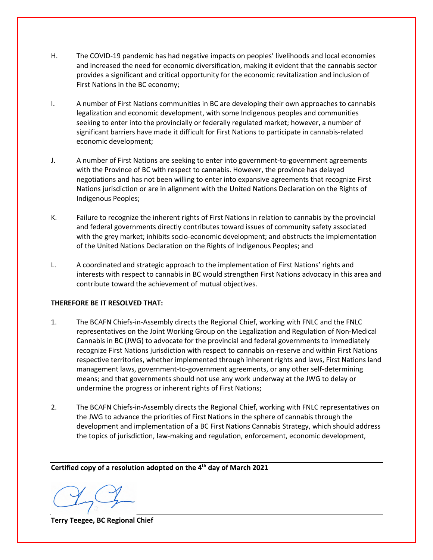- H. The COVID-19 pandemic has had negative impacts on peoples' livelihoods and local economies and increased the need for economic diversification, making it evident that the cannabis sector provides a significant and critical opportunity for the economic revitalization and inclusion of First Nations in the BC economy;
- I. A number of First Nations communities in BC are developing their own approaches to cannabis legalization and economic development, with some Indigenous peoples and communities seeking to enter into the provincially or federally regulated market; however, a number of significant barriers have made it difficult for First Nations to participate in cannabis-related economic development;
- J. A number of First Nations are seeking to enter into government-to-government agreements with the Province of BC with respect to cannabis. However, the province has delayed negotiations and has not been willing to enter into expansive agreements that recognize First Nations jurisdiction or are in alignment with the United Nations Declaration on the Rights of Indigenous Peoples;
- K. Failure to recognize the inherent rights of First Nations in relation to cannabis by the provincial and federal governments directly contributes toward issues of community safety associated with the grey market; inhibits socio-economic development; and obstructs the implementation of the United Nations Declaration on the Rights of Indigenous Peoples; and
- L. A coordinated and strategic approach to the implementation of First Nations' rights and interests with respect to cannabis in BC would strengthen First Nations advocacy in this area and contribute toward the achievement of mutual objectives.

## **THEREFORE BE IT RESOLVED THAT:**

- 1. The BCAFN Chiefs-in-Assembly directs the Regional Chief, working with FNLC and the FNLC representatives on the Joint Working Group on the Legalization and Regulation of Non-Medical Cannabis in BC (JWG) to advocate for the provincial and federal governments to immediately recognize First Nations jurisdiction with respect to cannabis on-reserve and within First Nations respective territories, whether implemented through inherent rights and laws, First Nations land management laws, government-to-government agreements, or any other self-determining means; and that governments should not use any work underway at the JWG to delay or undermine the progress or inherent rights of First Nations;
- 2. The BCAFN Chiefs-in-Assembly directs the Regional Chief, working with FNLC representatives on the JWG to advance the priorities of First Nations in the sphere of cannabis through the development and implementation of a BC First Nations Cannabis Strategy, which should address the topics of jurisdiction, law-making and regulation, enforcement, economic development,

**Terry Teegee, BC Regional Chief**